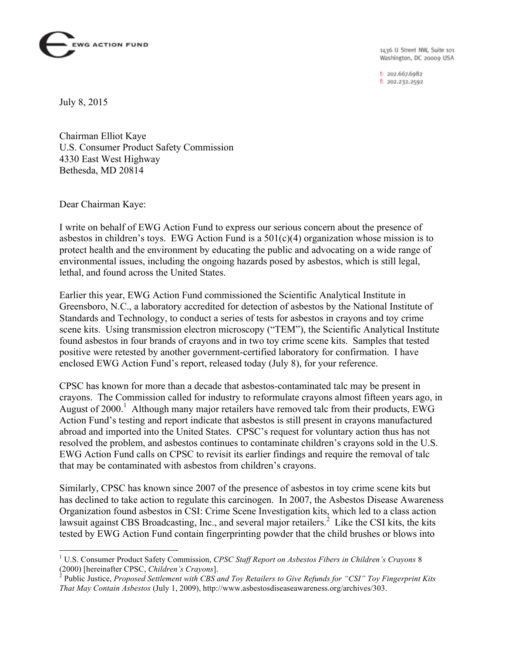

1436 U Street NW, Suite 101 Washington, DC 20009 USA

t: 202.667.6982 f: 202.232.2592

July 8, 2015

Chairman Elliot Kaye U.S. Consumer Product Safety Commission 4330 East West Highway Bethesda, MD 20814

Dear Chairman Kaye:

I write on behalf of EWG Action Fund to express our serious concern about the presence of asbestos in children's toys. EWG Action Fund is a  $501(c)(4)$  organization whose mission is to protect health and the environment by educating the public and advocating on a wide range of environmental issues, including the ongoing hazards posed by asbestos, which is still legal, lethal, and found across the United States.

Earlier this year, EWG Action Fund commissioned the Scientific Analytical Institute in Greensboro, N.C., a laboratory accredited for detection of asbestos by the National Institute of Standards and Technology, to conduct a series of tests for asbestos in crayons and toy crime scene kits. Using transmission electron microscopy ("TEM"), the Scientific Analytical Institute found asbestos in four brands of crayons and in two toy crime scene kits. Samples that tested positive were retested by another government-certified laboratory for confirmation. I have enclosed EWG Action Fund's report, released today (July 8), for your reference.

CPSC has known for more than a decade that asbestos-contaminated talc may be present in crayons. The Commission called for industry to reformulate crayons almost fifteen years ago, in August of 2000. <sup>1</sup> Although many major retailers have removed talc from their products, EWG Action Fund's testing and report indicate that asbestos is still present in crayons manufactured abroad and imported into the United States. CPSC's request for voluntary action thus has not resolved the problem, and asbestos continues to contaminate children's crayons sold in the U.S. EWG Action Fund calls on CPSC to revisit its earlier findings and require the removal of talc that may be contaminated with asbestos from children's crayons.

Similarly, CPSC has known since 2007 of the presence of asbestos in toy crime scene kits but has declined to take action to regulate this carcinogen. In 2007, the Asbestos Disease Awareness Organization found asbestos in CSI: Crime Scene Investigation kits, which led to a class action lawsuit against CBS Broadcasting, Inc., and several major retailers.<sup>2</sup> Like the CSI kits, the kits tested by EWG Action Fund contain fingerprinting powder that the child brushes or blows into

 <sup>1</sup> U.S. Consumer Product Safety Commission, *CPSC Staff Report on Asbestos Fibers in Children's Crayons* <sup>8</sup> (2000) [hereinafter CPSC, *Children's Crayons*]. <sup>2</sup> Public Justice, *Proposed Settlement with CBS and Toy Retailers to Give Refunds for "CSI" Toy Fingerprint Kits* 

*That May Contain Asbestos* (July 1, 2009), http://www.asbestosdiseaseawareness.org/archives/303.